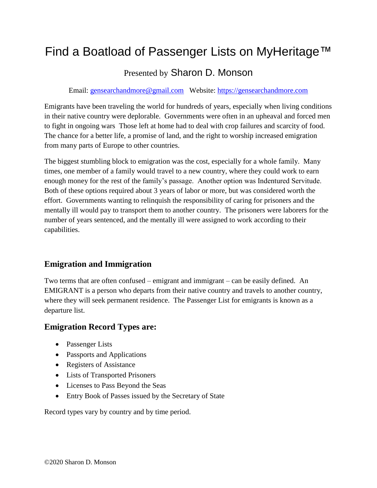# Find a Boatload of Passenger Lists on MyHeritage™

# Presented by Sharon D. Monson

Email: [gensearchandmore@gmail.com](mailto:gensearchandmore@gmail.com) Website: [https://gensearchandmore.com](https://gensearchandmore.com/)

Emigrants have been traveling the world for hundreds of years, especially when living conditions in their native country were deplorable. Governments were often in an upheaval and forced men to fight in ongoing wars Those left at home had to deal with crop failures and scarcity of food. The chance for a better life, a promise of land, and the right to worship increased emigration from many parts of Europe to other countries.

The biggest stumbling block to emigration was the cost, especially for a whole family. Many times, one member of a family would travel to a new country, where they could work to earn enough money for the rest of the family's passage. Another option was Indentured Servitude. Both of these options required about 3 years of labor or more, but was considered worth the effort. Governments wanting to relinquish the responsibility of caring for prisoners and the mentally ill would pay to transport them to another country. The prisoners were laborers for the number of years sentenced, and the mentally ill were assigned to work according to their capabilities.

# **Emigration and Immigration**

Two terms that are often confused – emigrant and immigrant – can be easily defined. An EMIGRANT is a person who departs from their native country and travels to another country, where they will seek permanent residence. The Passenger List for emigrants is known as a departure list.

## **Emigration Record Types are:**

- Passenger Lists
- Passports and Applications
- Registers of Assistance
- Lists of Transported Prisoners
- Licenses to Pass Beyond the Seas
- Entry Book of Passes issued by the Secretary of State

Record types vary by country and by time period.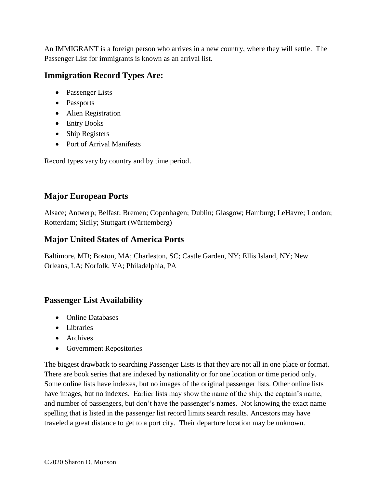An IMMIGRANT is a foreign person who arrives in a new country, where they will settle. The Passenger List for immigrants is known as an arrival list.

# **Immigration Record Types Are:**

- Passenger Lists
- Passports
- Alien Registration
- Entry Books
- Ship Registers
- Port of Arrival Manifests

Record types vary by country and by time period.

# **Major European Ports**

Alsace; Antwerp; Belfast; Bremen; Copenhagen; Dublin; Glasgow; Hamburg; LeHavre; London; Rotterdam; Sicily; Stuttgart (Württemberg)

# **Major United States of America Ports**

Baltimore, MD; Boston, MA; Charleston, SC; Castle Garden, NY; Ellis Island, NY; New Orleans, LA; Norfolk, VA; Philadelphia, PA

# **Passenger List Availability**

- Online Databases
- Libraries
- Archives
- Government Repositories

The biggest drawback to searching Passenger Lists is that they are not all in one place or format. There are book series that are indexed by nationality or for one location or time period only. Some online lists have indexes, but no images of the original passenger lists. Other online lists have images, but no indexes. Earlier lists may show the name of the ship, the captain's name, and number of passengers, but don't have the passenger's names. Not knowing the exact name spelling that is listed in the passenger list record limits search results. Ancestors may have traveled a great distance to get to a port city. Their departure location may be unknown.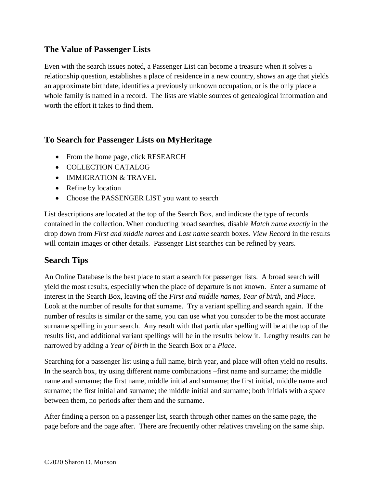## **The Value of Passenger Lists**

Even with the search issues noted, a Passenger List can become a treasure when it solves a relationship question, establishes a place of residence in a new country, shows an age that yields an approximate birthdate, identifies a previously unknown occupation, or is the only place a whole family is named in a record. The lists are viable sources of genealogical information and worth the effort it takes to find them.

# **To Search for Passenger Lists on MyHeritage**

- From the home page, click RESEARCH
- COLLECTION CATALOG
- IMMIGRATION & TRAVEL
- Refine by location
- Choose the PASSENGER LIST you want to search

List descriptions are located at the top of the Search Box, and indicate the type of records contained in the collection. When conducting broad searches, disable *Match name exactly* in the drop down from *First and middle names* and *Last name* search boxes. *View Record* in the results will contain images or other details. Passenger List searches can be refined by years.

# **Search Tips**

An Online Database is the best place to start a search for passenger lists. A broad search will yield the most results, especially when the place of departure is not known. Enter a surname of interest in the Search Box, leaving off the *First and middle names*, *Year of birth*, and *Place*. Look at the number of results for that surname. Try a variant spelling and search again. If the number of results is similar or the same, you can use what you consider to be the most accurate surname spelling in your search. Any result with that particular spelling will be at the top of the results list, and additional variant spellings will be in the results below it. Lengthy results can be narrowed by adding a *Year of birth* in the Search Box or a *Place*.

Searching for a passenger list using a full name, birth year, and place will often yield no results. In the search box, try using different name combinations –first name and surname; the middle name and surname; the first name, middle initial and surname; the first initial, middle name and surname; the first initial and surname; the middle initial and surname; both initials with a space between them, no periods after them and the surname.

After finding a person on a passenger list, search through other names on the same page, the page before and the page after. There are frequently other relatives traveling on the same ship.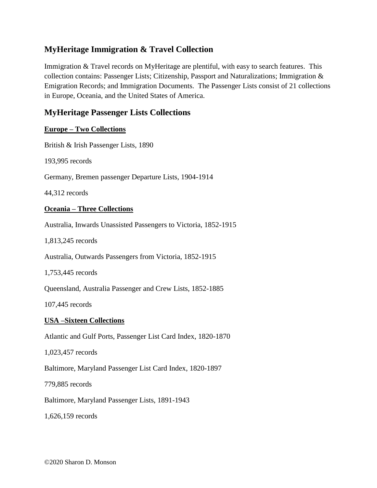# **MyHeritage Immigration & Travel Collection**

Immigration & Travel records on MyHeritage are plentiful, with easy to search features. This collection contains: Passenger Lists; Citizenship, Passport and Naturalizations; Immigration & Emigration Records; and Immigration Documents. The Passenger Lists consist of 21 collections in Europe, Oceania, and the United States of America.

## **MyHeritage Passenger Lists Collections**

#### **Europe – Two Collections**

British & Irish Passenger Lists, 1890

193,995 records

Germany, Bremen passenger Departure Lists, 1904-1914

44,312 records

#### **Oceania – Three Collections**

Australia, Inwards Unassisted Passengers to Victoria, 1852-1915

1,813,245 records

Australia, Outwards Passengers from Victoria, 1852-1915

1,753,445 records

Queensland, Australia Passenger and Crew Lists, 1852-1885

107,445 records

#### **USA –Sixteen Collections**

Atlantic and Gulf Ports, Passenger List Card Index, 1820-1870

1,023,457 records

Baltimore, Maryland Passenger List Card Index, 1820-1897

779,885 records

Baltimore, Maryland Passenger Lists, 1891-1943

1,626,159 records